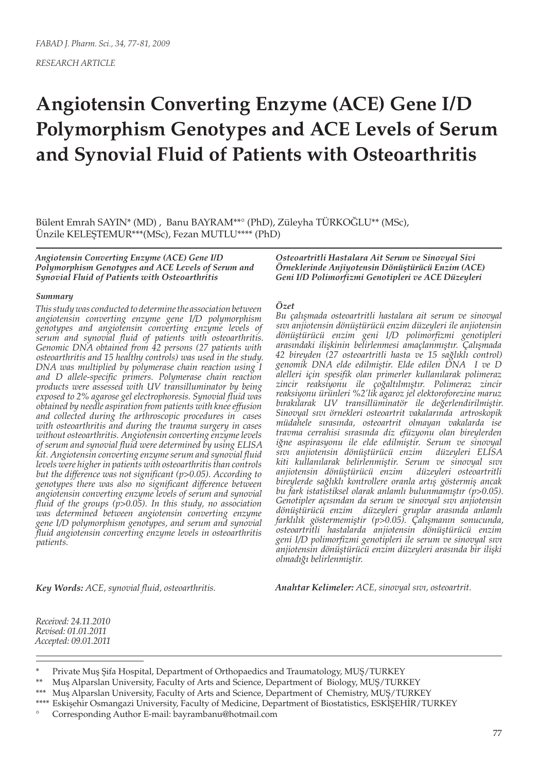*RESEARCH ARTICLE*

# **Angiotensin Converting Enzyme (ACE) Gene I/D Polymorphism Genotypes and ACE Levels of Serum and Synovial Fluid of Patients with Osteoarthritis**

Bülent Emrah SAYIN\* (MD) , Banu BAYRAM\*\*° (PhD), Züleyha TÜRKOĞLU\*\* (MSc), Ünzile KELEŞTEMUR\*\*\*(MSc), Fezan MUTLU\*\*\*\* (PhD)

*Angiotensin Converting Enzyme (ACE) Gene I/D Polymorphism Genotypes and ACE Levels of Serum and Synovial Fluid of Patients with Osteoarthritis*

#### *Summary*

*This study was conducted to determine the association between angiotensin converting enzyme gene I/D polymorphism genotypes and angiotensin converting enzyme levels of serum and synovial fluid of patients with osteoarthritis. Genomic DNA obtained from 42 persons (27 patients with osteoarthritis and 15 healthy controls) was used in the study. DNA was multiplied by polymerase chain reaction using I and D allele-specific primers. Polymerase chain reaction products were assessed with UV transilluminator by being exposed to 2% agarose gel electrophoresis. Synovial fluid was obtained by needle aspiration from patients with knee effusion and collected during the arthroscopic procedures in cases with osteoarthritis and during the trauma surgery in cases without osteoarthritis. Angiotensin converting enzyme levels of serum and synovial fluid were determined by using ELISA kit. Angiotensin converting enzyme serum and synovial fluid levels were higher in patients with osteoarthritis than controls but the difference was not significant (p>0.05). According to genotypes there was also no significant difference between angiotensin converting enzyme levels of serum and synovial fluid of the groups (p>0.05). In this study, no association was determined between angiotensin converting enzyme gene I/D polymorphism genotypes, and serum and synovial fluid angiotensin converting enzyme levels in osteoarthritis patients.*

*Osteoartritli Hastalara Ait Serum ve Sinovyal Sivi Örneklerinde Anjiyotensin Dönüştürücü Enzim (ACE) Geni I/D Polimorfizmi Genotipleri ve ACE Düzeyleri*

#### *Özet*

*Bu çalışmada osteoartritli hastalara ait serum ve sinovyal sıvı anjiotensin dönüştürücü enzim düzeyleri ile anjiotensin dönüştürücü enzim geni I/D polimorfizmi genotipleri arasındaki ilişkinin belirlenmesi amaçlanmıştır. Çalışmada 42 bireyden (27 osteoartritli hasta ve 15 sağlıklı control) genomik DNA elde edilmiştir. Elde edilen DNA I ve D alelleri için spesifik olan primerler kullanılarak polimeraz zincir reaksiyonu ile çoğaltılmıştır. Polimeraz zincir reaksiyonu ürünleri %2'lik agaroz jel elektoroforezine maruz bırakılarak UV transillüminatör ile değerlendirilmiştir. Sinovyal sıvı örnekleri osteoartrit vakalarında artroskopik müdahele sırasında, osteoartrit olmayan vakalarda ise travma cerrahisi sırasında diz efüzyonu olan bireylerden iğne aspirasyonu ile elde edilmiştir. Serum ve sinovyal sıvı anjiotensin dönüştürücü enzim düzeyleri ELISA kiti kullanılarak belirlenmiştir. Serum ve sinovyal sıvı anjiotensin dönüştürücü enzim düzeyleri osteoartritli bireylerde sağlıklı kontrollere oranla artış göstermiş ancak bu fark istatistiksel olarak anlamlı bulunmamıştır (p>0.05). Genotipler açısından da serum ve sinovyal sıvı anjiotensin dönüştürücü enzim düzeyleri gruplar arasında anlamlı farklılık göstermemiştir (p>0.05). Çalışmanın sonucunda, osteoartritli hastalarda anjiotensin dönüştürücü enzim geni I/D polimorfizmi genotipleri ile serum ve sinovyal sıvı anjiotensin dönüştürücü enzim düzeyleri arasında bir ilişki olmadığı belirlenmiştir.*

*Key Words: ACE, synovial fluid, osteoarthritis.*

*Anahtar Kelimeler: ACE, sinovyal sıvı, osteoartrit.*

*Received: 24.11.2010 Revised: 01.01.2011 Accepted: 09.01.2011*

\*\*\* Muş Alparslan University, Faculty of Arts and Science, Department of Chemistry, MUŞ/TURKEY

Private Muş Şifa Hospital, Department of Orthopaedics and Traumatology, MUŞ/TURKEY

<sup>\*\*</sup> Muş Alparslan University, Faculty of Arts and Science, Department of Biology, MUŞ/TURKEY

<sup>\*\*\*\*</sup> Eskişehir Osmangazi University, Faculty of Medicine, Department of Biostatistics, ESKİŞEHİR/TURKEY

<sup>°</sup> Corresponding Author E-mail: bayrambanu@hotmail.com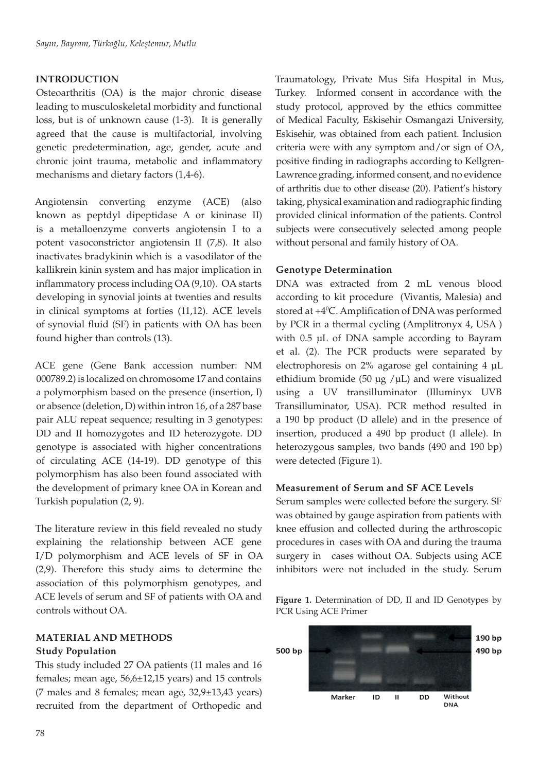# **INTRODUCTION**

Osteoarthritis (OA) is the major chronic disease leading to musculoskeletal morbidity and functional loss, but is of unknown cause (1-3). It is generally agreed that the cause is multifactorial, involving genetic predetermination, age, gender, acute and chronic joint trauma, metabolic and inflammatory mechanisms and dietary factors (1,4-6).

Angiotensin converting enzyme (ACE) (also known as peptdyl dipeptidase A or kininase II) is a metalloenzyme converts angiotensin I to a potent vasoconstrictor angiotensin II (7,8). It also inactivates bradykinin which is a vasodilator of the kallikrein kinin system and has major implication in inflammatory process including OA (9,10). OA starts developing in synovial joints at twenties and results in clinical symptoms at forties (11,12). ACE levels of synovial fluid (SF) in patients with OA has been found higher than controls (13).

ACE gene (Gene Bank accession number: NM 000789.2) is localized on chromosome 17 and contains a polymorphism based on the presence (insertion, I) or absence (deletion, D) within intron 16, of a 287 base pair ALU repeat sequence; resulting in 3 genotypes: DD and II homozygotes and ID heterozygote. DD genotype is associated with higher concentrations of circulating ACE (14-19). DD genotype of this polymorphism has also been found associated with the development of primary knee OA in Korean and Turkish population (2, 9).

The literature review in this field revealed no study explaining the relationship between ACE gene I/D polymorphism and ACE levels of SF in OA (2,9). Therefore this study aims to determine the association of this polymorphism genotypes, and ACE levels of serum and SF of patients with OA and controls without OA.

# **MATERIAL AND METHODS Study Population**

This study included 27 OA patients (11 males and 16 females; mean age, 56,6±12,15 years) and 15 controls (7 males and 8 females; mean age,  $32,9 \pm 13,43$  years) recruited from the department of Orthopedic and

Traumatology, Private Mus Sifa Hospital in Mus, Turkey. Informed consent in accordance with the study protocol, approved by the ethics committee of Medical Faculty, Eskisehir Osmangazi University, Eskisehir, was obtained from each patient. Inclusion criteria were with any symptom and/or sign of OA, positive finding in radiographs according to Kellgren-Lawrence grading, informed consent, and no evidence of arthritis due to other disease (20). Patient's history taking, physical examination and radiographic finding provided clinical information of the patients. Control subjects were consecutively selected among people without personal and family history of OA.

# **Genotype Determination**

DNA was extracted from 2 mL venous blood according to kit procedure (Vivantis, Malesia) and stored at +40 C. Amplification of DNA was performed by PCR in a thermal cycling (Amplitronyx 4, USA ) with 0.5 µL of DNA sample according to Bayram et al. (2). The PCR products were separated by electrophoresis on 2% agarose gel containing 4 µL ethidium bromide (50  $\mu$ g / $\mu$ L) and were visualized using a UV transilluminator (Illuminyx UVB Transilluminator, USA). PCR method resulted in a 190 bp product (D allele) and in the presence of insertion, produced a 490 bp product (I allele). In heterozygous samples, two bands (490 and 190 bp) were detected (Figure 1).

#### **Measurement of Serum and SF ACE Levels**

Serum samples were collected before the surgery. SF was obtained by gauge aspiration from patients with knee effusion and collected during the arthroscopic procedures in cases with OA and during the trauma surgery in cases without OA. Subjects using ACE inhibitors were not included in the study. Serum

**Figure 1.** Determination of DD, II and ID Genotypes by PCR Using ACE Primer

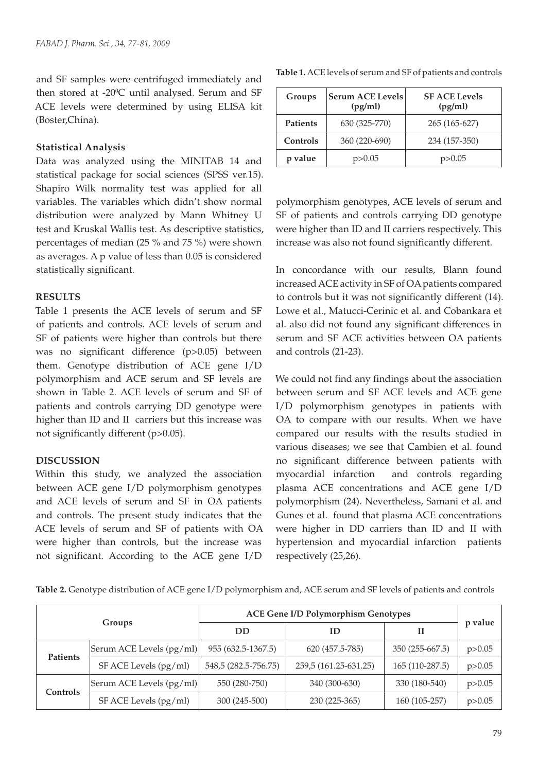and SF samples were centrifuged immediately and then stored at  $-20^{\circ}$ C until analysed. Serum and SF ACE levels were determined by using ELISA kit (Boster,China).

#### **Statistical Analysis**

Data was analyzed using the MINITAB 14 and statistical package for social sciences (SPSS ver.15). Shapiro Wilk normality test was applied for all variables. The variables which didn't show normal distribution were analyzed by Mann Whitney U test and Kruskal Wallis test. As descriptive statistics, percentages of median (25 % and 75 %) were shown as averages. A p value of less than 0.05 is considered statistically significant.

## **RESULTS**

Table 1 presents the ACE levels of serum and SF of patients and controls. ACE levels of serum and SF of patients were higher than controls but there was no significant difference (p>0.05) between them. Genotype distribution of ACE gene I/D polymorphism and ACE serum and SF levels are shown in Table 2. ACE levels of serum and SF of patients and controls carrying DD genotype were higher than ID and II carriers but this increase was not significantly different (p>0.05).

# **DISCUSSION**

Within this study, we analyzed the association between ACE gene I/D polymorphism genotypes and ACE levels of serum and SF in OA patients and controls. The present study indicates that the ACE levels of serum and SF of patients with OA were higher than controls, but the increase was not significant. According to the ACE gene I/D

| Groups   | <b>Serum ACE Levels</b><br>(pg/ml) | <b>SF ACE Levels</b><br>(pg/ml) |  |
|----------|------------------------------------|---------------------------------|--|
| Patients | 630 (325-770)                      | 265 (165-627)                   |  |
| Controls | 360 (220-690)                      | 234 (157-350)                   |  |
| p value  | p>0.05                             | p>0.05                          |  |

**Table 1.** ACE levels of serum and SF of patients and controls

polymorphism genotypes, ACE levels of serum and SF of patients and controls carrying DD genotype were higher than ID and II carriers respectively. This increase was also not found significantly different.

In concordance with our results, Blann found increased ACE activity in SF of OA patients compared to controls but it was not significantly different (14). Lowe et al., Matucci-Cerinic et al. and Cobankara et al. also did not found any significant differences in serum and SF ACE activities between OA patients and controls (21-23).

We could not find any findings about the association between serum and SF ACE levels and ACE gene I/D polymorphism genotypes in patients with OA to compare with our results. When we have compared our results with the results studied in various diseases; we see that Cambien et al. found no significant difference between patients with myocardial infarction and controls regarding plasma ACE concentrations and ACE gene I/D polymorphism (24). Nevertheless, Samani et al. and Gunes et al. found that plasma ACE concentrations were higher in DD carriers than ID and II with hypertension and myocardial infarction patients respectively (25,26).

**Table 2.** Genotype distribution of ACE gene I/D polymorphism and, ACE serum and SF levels of patients and controls

| Groups          |                          | <b>ACE Gene I/D Polymorphism Genotypes</b> |                       |                  |          |
|-----------------|--------------------------|--------------------------------------------|-----------------------|------------------|----------|
|                 |                          | DD                                         | ΙD                    | и                | p value  |
| <b>Patients</b> | Serum ACE Levels (pg/ml) | 955 (632.5-1367.5)                         | 620 (457.5-785)       | $350(255-667.5)$ | p > 0.05 |
|                 | SF ACE Levels (pg/ml)    | 548,5 (282.5-756.75)                       | 259,5 (161.25-631.25) | 165 (110-287.5)  | p > 0.05 |
| Controls        | Serum ACE Levels (pg/ml) | 550 (280-750)                              | 340 (300-630)         | 330 (180-540)    | p > 0.05 |
|                 | SF ACE Levels (pg/ml)    | 300 (245-500)                              | 230 (225-365)         | 160 (105-257)    | p > 0.05 |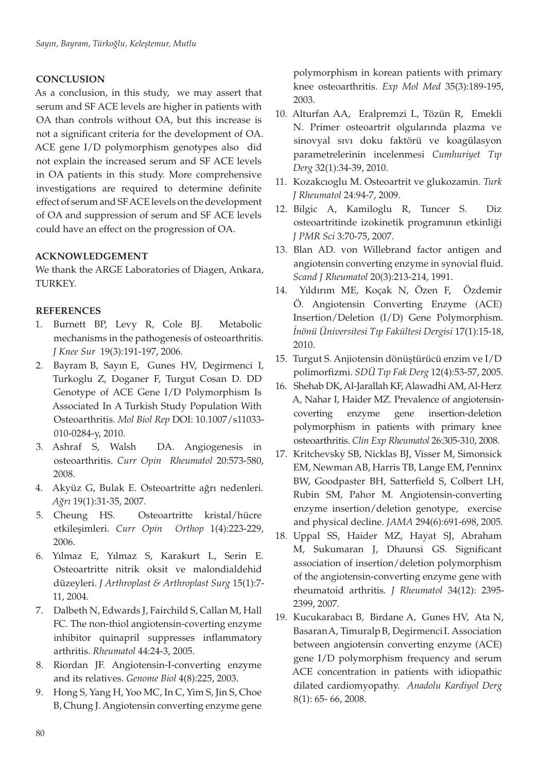# **CONCLUSION**

As a conclusion, in this study, we may assert that serum and SF ACE levels are higher in patients with OA than controls without OA, but this increase is not a significant criteria for the development of OA. ACE gene I/D polymorphism genotypes also did not explain the increased serum and SF ACE levels in OA patients in this study. More comprehensive investigations are required to determine definite effect of serum and SF ACE levels on the development of OA and suppression of serum and SF ACE levels could have an effect on the progression of OA.

## **ACKNOWLEDGEMENT**

We thank the ARGE Laboratories of Diagen, Ankara, TURKEY.

#### **REFERENCES**

- 1. Burnett BP, Levy R, Cole BJ. Metabolic mechanisms in the pathogenesis of osteoarthritis. *J Knee Sur* 19(3):191-197, 2006.
- 2. Bayram B, Sayın E, Gunes HV, Degirmenci I, Turkoglu Z, Doganer F, Turgut Cosan D. DD Genotype of ACE Gene I/D Polymorphism Is Associated In A Turkish Study Population With Osteoarthritis. *Mol Biol Rep* DOI: 10.1007/s11033- 010-0284-y, 2010.
- 3. Ashraf S, Walsh DA. Angiogenesis in osteoarthritis. *Curr Opin Rheumatol* 20:573-580, 2008.
- 4. Akyüz G, Bulak E. Osteoartritte ağrı nedenleri. *Ağrı* 19(1):31-35, 2007.
- 5. Cheung HS. Osteoartritte kristal/hücre etkileşimleri. *Curr Opin Orthop* 1(4):223-229, 2006.
- 6. Yılmaz E, Yılmaz S, Karakurt L, Serin E. Osteoartritte nitrik oksit ve malondialdehid düzeyleri. *J Arthroplast & Arthroplast Surg* 15(1):7- 11, 2004.
- 7. Dalbeth N, Edwards J, Fairchild S, Callan M, Hall FC. The non-thiol angiotensin-coverting enzyme inhibitor quinapril suppresses inflammatory arthritis. *Rheumatol* 44:24-3, 2005.
- 8. Riordan JF. Angiotensin-I-converting enzyme and its relatives. *Genome Biol* 4(8):225, 2003.
- 9. Hong S, Yang H, Yoo MC, In C, Yim S, Jin S, Choe B, Chung J. Angiotensin converting enzyme gene

polymorphism in korean patients with primary knee osteoarthritis. *Exp Mol Med* 35(3):189-195, 2003.

- 10. Alturfan AA, Eralpremzi L, Tözün R, Emekli N. Primer osteoartrit olgularında plazma ve sinovyal sıvı doku faktörü ve koagülasyon parametrelerinin incelenmesi *Cumhuriyet Tıp Derg* 32(1):34-39, 2010.
- 11. Kozakcıoglu M. Osteoartrit ve glukozamin. *Turk J Rheumatol* 24:94-7, 2009.
- 12. Bilgic A, Kamiloglu R, Tuncer S. Diz osteoartritinde izokinetik programının etkinliği *J PMR Sci* 3:70-75, 2007.
- 13. Blan AD. von Willebrand factor antigen and angiotensin converting enzyme in synovial fluid. *Scand J Rheumatol* 20(3):213-214, 1991.
- 14. Yıldırım ME, Koçak N, Özen F, Özdemir Ö. Angiotensin Converting Enzyme (ACE) Insertion/Deletion (I/D) Gene Polymorphism. *İnönü Üniversitesi Tıp Fakültesi Dergisi* 17(1):15-18, 2010.
- 15. Turgut S. Anjiotensin dönüştürücü enzim ve I/D polimorfizmi. *SDÜ Tıp Fak Derg* 12(4):53-57, 2005.
- 16. Shehab DK, Al-Jarallah KF, Alawadhi AM, Al-Herz A, Nahar I, Haider MZ. Prevalence of angiotensincoverting enzyme gene insertion-deletion polymorphism in patients with primary knee osteoarthritis. *Clin Exp Rheumatol* 26:305-310, 2008.
- 17. Kritchevsky SB, Nicklas BJ, Visser M, Simonsick EM, Newman AB, Harris TB, Lange EM, Penninx BW, Goodpaster BH, Satterfield S, Colbert LH, Rubin SM, Pahor M. Angiotensin-converting enzyme insertion/deletion genotype, exercise and physical decline. *JAMA* 294(6):691-698, 2005.
- 18. Uppal SS, Haider MZ, Hayat SJ, Abraham M, Sukumaran J, Dhaunsi GS. Significant association of insertion/deletion polymorphism of the angiotensin-converting enzyme gene with rheumatoid arthritis. *J Rheumatol* 34(12): 2395- 2399, 2007.
- 19. Kucukarabacı B, Birdane A, Gunes HV, Ata N, Basaran A, Timuralp B, Degirmenci I. Association between angiotensin converting enzyme (ACE) gene I/D polymorphism frequency and serum ACE concentration in patients with idiopathic dilated cardiomyopathy. *Anadolu Kardiyol Derg*  8(1): 65- 66, 2008.